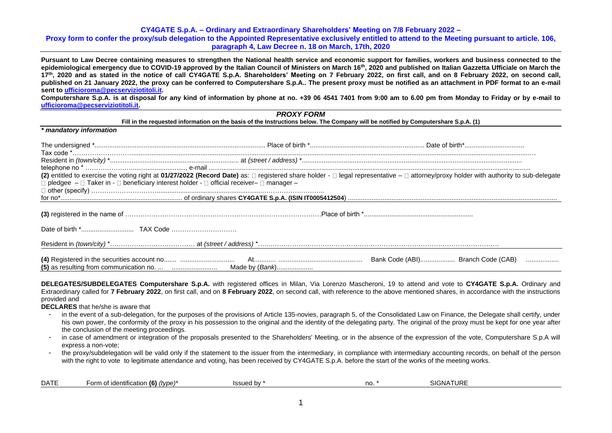## **CY4GATE S.p.A. – Ordinary and Extraordinary Shareholders' Meeting on 7/8 February 2022 – Proxy form to confer the proxy/sub delegation to the Appointed Representative exclusively entitled to attend to the Meeting pursuant to article. 106, paragraph 4, Law Decree n. 18 on March, 17th, 2020**

**Pursuant to Law Decree containing measures to strengthen the National health service and economic support for families, workers and business connected to the epidemiological emergency due to COVID-19 approved by the Italian Council of Ministers on March 16th, 2020 and published on Italian Gazzetta Ufficiale on March the 17th, 2020 and as stated in the notice of call CY4GATE S.p.A. Shareholders' Meeting on 7 February 2022, on first call, and on 8 February 2022, on second call, published on 21 January 2022, the proxy can be conferred to Computershare S.p.A.. The present proxy must be notified as an attachment in PDF format to an e-mail sent t[o ufficioroma@pecserviziotitoli.it.](mailto:ufficioroma@pecserviziotitoli.it)**

**Computershare S.p.A. is at disposal for any kind of information by phone at no. +39 06 4541 7401 from 9:00 am to 6.00 pm from Monday to Friday or by e-mail to [ufficioroma@pecserviziotitoli.it.](mailto:ufficioroma@pecserviziotitoli.it)**

|                                                                                                                   | <b>PROXY FORM</b>                                                                                                                  |                                                                                                                                                                                       |
|-------------------------------------------------------------------------------------------------------------------|------------------------------------------------------------------------------------------------------------------------------------|---------------------------------------------------------------------------------------------------------------------------------------------------------------------------------------|
|                                                                                                                   | Fill in the requested information on the basis of the Instructions below. The Company will be notified by Computershare S.p.A. (1) |                                                                                                                                                                                       |
| * mandatory information                                                                                           |                                                                                                                                    |                                                                                                                                                                                       |
|                                                                                                                   |                                                                                                                                    |                                                                                                                                                                                       |
|                                                                                                                   |                                                                                                                                    |                                                                                                                                                                                       |
|                                                                                                                   |                                                                                                                                    |                                                                                                                                                                                       |
| $\Box$ pledgee $-\Box$ Taker in - $\Box$ beneficiary interest holder - $\Box$ official receiver- $\Box$ manager - |                                                                                                                                    | (2) entitled to exercise the voting right at 01/27/2022 (Record Date) as: □ registered share holder - □ legal representative - □ attorney/proxy holder with authority to sub-delegate |
|                                                                                                                   |                                                                                                                                    |                                                                                                                                                                                       |
|                                                                                                                   |                                                                                                                                    |                                                                                                                                                                                       |
|                                                                                                                   |                                                                                                                                    |                                                                                                                                                                                       |
|                                                                                                                   |                                                                                                                                    |                                                                                                                                                                                       |
|                                                                                                                   |                                                                                                                                    | Bank Code (ABI) Branch Code (CAB)                                                                                                                                                     |

**DELEGATES/SUBDELEGATES Computershare S.p.A.** with registered offices in Milan, Via Lorenzo Mascheroni, 19 to attend and vote to **CY4GATE S.p.A.** Ordinary and Extraordinary called for **7 February 2022**, on first call, and on **8 February 2022**, on second call, with reference to the above mentioned shares, in accordance with the instructions provided and

**DECLARES** that he/she is aware that

- in the event of a sub-delegation, for the purposes of the provisions of Article 135-novies, paragraph 5, of the Consolidated Law on Finance, the Delegate shall certify, under his own power, the conformity of the proxy in his possession to the original and the identity of the delegating party. The original of the proxy must be kept for one year after the conclusion of the meeting proceedings.
- in case of amendment or integration of the proposals presented to the Shareholders' Meeting, or in the absence of the expression of the vote, Computershare S.p.A will express a non-vote;
- the proxy/subdelegation will be valid only if the statement to the issuer from the intermediary, in compliance with intermediary accounting records, on behalf of the person with the right to vote to legitimate attendance and voting, has been received by CY4GATE S.p.A. before the start of the works of the meeting works.

| <b>DATE</b> | of identification (6),<br>$(t$ (type) <sup>*</sup><br>∙orm | hausel<br>id by | no. | <b>NATHE</b><br><b>SIGNATI</b><br>.I UNE |  |
|-------------|------------------------------------------------------------|-----------------|-----|------------------------------------------|--|
|-------------|------------------------------------------------------------|-----------------|-----|------------------------------------------|--|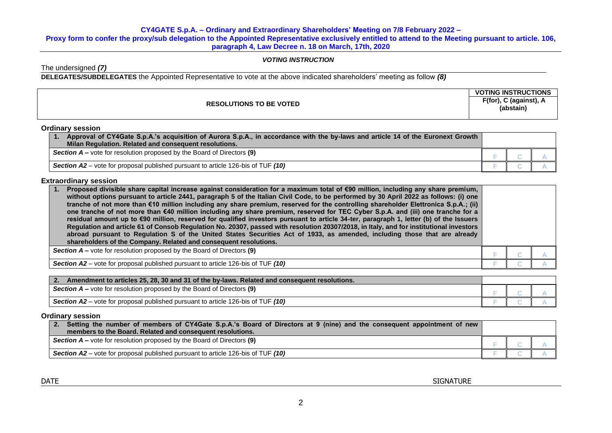# **CY4GATE S.p.A. – Ordinary and Extraordinary Shareholders' Meeting on 7/8 February 2022 –**

**Proxy form to confer the proxy/sub delegation to the Appointed Representative exclusively entitled to attend to the Meeting pursuant to article. 106, paragraph 4, Law Decree n. 18 on March, 17th, 2020** 

# *VOTING INSTRUCTION*

The undersigned *(7)*

**DELEGATES/SUBDELEGATES** the Appointed Representative to vote at the above indicated shareholders' meeting as follow *(8)*

|                                | <b>VOTING INSTRUCTIONS</b>                                                    |
|--------------------------------|-------------------------------------------------------------------------------|
| <b>RESOLUTIONS TO BE VOTED</b> | $F(for)$ ,<br>$\hat{\phantom{a}}$ (against), $\hat{\phantom{a}}$<br>(abstain) |
|                                |                                                                               |

## **Ordinary session**

| Approval of CY4Gate S.p.A.'s acquisition of Aurora S.p.A., in accordance with the by-laws and article 14 of the Euronext Growth<br>Milan Regulation. Related and consequent resolutions. |  |  |
|------------------------------------------------------------------------------------------------------------------------------------------------------------------------------------------|--|--|
| <b>Section <math>A</math></b> – vote for resolution proposed by the Board of Directors (9)                                                                                               |  |  |
| <b>Section A2</b> – vote for proposal published pursuant to article 126-bis of TUF $(10)$                                                                                                |  |  |

# **Extraordinary session**

| Proposed divisible share capital increase against consideration for a maximum total of €90 million, including any share premium,<br>without options pursuant to article 2441, paragraph 5 of the Italian Civil Code, to be performed by 30 April 2022 as follows: (i) one<br>tranche of not more than €10 million including any share premium, reserved for the controlling shareholder Elettronica S.p.A.; (ii)<br>one tranche of not more than €40 million including any share premium, reserved for TEC Cyber S.p.A. and (iii) one tranche for a<br>residual amount up to €90 million, reserved for qualified investors pursuant to article 34-ter, paragraph 1, letter (b) of the Issuers<br>Regulation and article 61 of Consob Regulation No. 20307, passed with resolution 20307/2018, in Italy, and for institutional investors<br>abroad pursuant to Regulation S of the United States Securities Act of 1933, as amended, including those that are already<br>shareholders of the Company. Related and consequent resolutions. |  |  |
|------------------------------------------------------------------------------------------------------------------------------------------------------------------------------------------------------------------------------------------------------------------------------------------------------------------------------------------------------------------------------------------------------------------------------------------------------------------------------------------------------------------------------------------------------------------------------------------------------------------------------------------------------------------------------------------------------------------------------------------------------------------------------------------------------------------------------------------------------------------------------------------------------------------------------------------------------------------------------------------------------------------------------------------|--|--|
| <b>Section <math>A</math> –</b> vote for resolution proposed by the Board of Directors (9)                                                                                                                                                                                                                                                                                                                                                                                                                                                                                                                                                                                                                                                                                                                                                                                                                                                                                                                                               |  |  |
| Section A2 – vote for proposal published pursuant to article 126-bis of TUF (10)                                                                                                                                                                                                                                                                                                                                                                                                                                                                                                                                                                                                                                                                                                                                                                                                                                                                                                                                                         |  |  |

| $\overline{\phantom{a}}$ 2.<br>Amendment to articles 25, 28, 30 and 31 of the by-laws. Related and consequent resolutions. |  |  |
|----------------------------------------------------------------------------------------------------------------------------|--|--|
| <b>Section A</b> – vote for resolution proposed by the Board of Directors (9)                                              |  |  |
| Section A2 – vote for proposal published pursuant to article 126-bis of TUF (10)                                           |  |  |

## **Ordinary session**

| Setting the number of members of CY4Gate S.p.A.'s Board of Directors at 9 (nine) and the consequent appointment of new<br>2.<br>members to the Board. Related and consequent resolutions. |  |  |  |
|-------------------------------------------------------------------------------------------------------------------------------------------------------------------------------------------|--|--|--|
| <b>Section <math>A</math></b> – vote for resolution proposed by the Board of Directors (9)                                                                                                |  |  |  |
| <b>Section A2</b> – vote for proposal published pursuant to article 126-bis of TUF (10)                                                                                                   |  |  |  |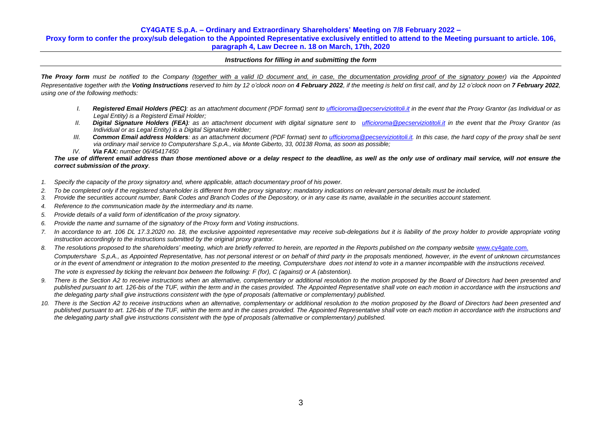## **CY4GATE S.p.A. – Ordinary and Extraordinary Shareholders' Meeting on 7/8 February 2022 –**

**Proxy form to confer the proxy/sub delegation to the Appointed Representative exclusively entitled to attend to the Meeting pursuant to article. 106, paragraph 4, Law Decree n. 18 on March, 17th, 2020** 

## *Instructions for filling in and submitting the form*

**The Proxy form** must be notified to the Company (together with a valid ID document and, in case, the documentation providing proof of the signatory power) via the Appointed Representative together with the Voting Instructions reserved to him by 12 o'clock noon on 4 February 2022, if the meeting is held on first call, and by 12 o'clock noon on 7 February 2022. *using one of the following methods:*

- *I. Registered Email Holders (PEC): as an attachment document (PDF format) sent to [ufficioroma@pecserviziotitoli.it](mailto:ufficioroma@pecserviziotitoli.it) in the event that the Proxy Grantor (as Individual or as Legal Entity) is a Registerd Email Holder;*
- *II. Digital Signature Holders (FEA): as an attachment document with digital signature sent to [ufficioroma@pecserviziotitoli.it](mailto:xxxxx@pecserviziotitoli.it) in the event that the Proxy Grantor (as Individual or as Legal Entity) is a Digital Signature Holder;*
- *III. Common Email address Holders: as an attachment document (PDF format) sent to [ufficioroma@pecserviziotitoli.it.](mailto:ufficioroma@pecserviziotitoli.it) In this case, the hard copy of the proxy shall be sent via ordinary mail service to Computershare S.p.A., via Monte Giberto, 33, 00138 Roma, as soon as possible;*
- *IV. Via FAX: number 06/45417450*

### *The use of different email address than those mentioned above or a delay respect to the deadline, as well as the only use of ordinary mail service, will not ensure the correct submission of the proxy.*

- *1. Specify the capacity of the proxy signatory and, where applicable, attach documentary proof of his power.*
- *2. To be completed only if the registered shareholder is different from the proxy signatory; mandatory indications on relevant personal details must be included.*
- *3. Provide the securities account number, Bank Codes and Branch Codes of the Depository, or in any case its name, available in the securities account statement.*
- *4. Reference to the communication made by the intermediary and its name.*
- *5. Provide details of a valid form of identification of the proxy signatory.*
- *6. Provide the name and surname of the signatory of the Proxy form and Voting instructions.*
- 7. In accordance to art. 106 DL 17.3.2020 no. 18, the exclusive appointed representative may receive sub-delegations but it is liability of the proxy holder to provide appropriate voting *instruction accordingly to the instructions submitted by the original proxy grantor.*
- 8. The resolutions proposed to the shareholders' meeting, which are briefly referred to herein, are reported in the Reports published on the company website [www.cy4gate.com.](http://www.cy4gate.com/) *Computershare S.p.A., as Appointed Representative, has not personal interest or on behalf of third party in the proposals mentioned, however, in the event of unknown circumstances or in the event of amendment or integration to the motion presented to the meeting, Computershare does not intend to vote in a manner incompatible with the instructions received. The vote is expressed by ticking the relevant box between the following: F (for), C (against) or A (abstention).*
- 9. There is the Section A2 to receive instructions when an alternative, complementary or additional resolution to the motion proposed by the Board of Directors had been presented and published pursuant to art. 126-bis of the TUF, within the term and in the cases provided. The Appointed Representative shall vote on each motion in accordance with the instructions and *the delegating party shall give instructions consistent with the type of proposals (alternative or complementary) published.*
- *10. There is the Section A2 to receive instructions when an alternative, complementary or additional resolution to the motion proposed by the Board of Directors had been presented and published pursuant to art. 126-bis of the TUF, within the term and in the cases provided. The Appointed Representative shall vote on each motion in accordance with the instructions and the delegating party shall give instructions consistent with the type of proposals (alternative or complementary) published.*